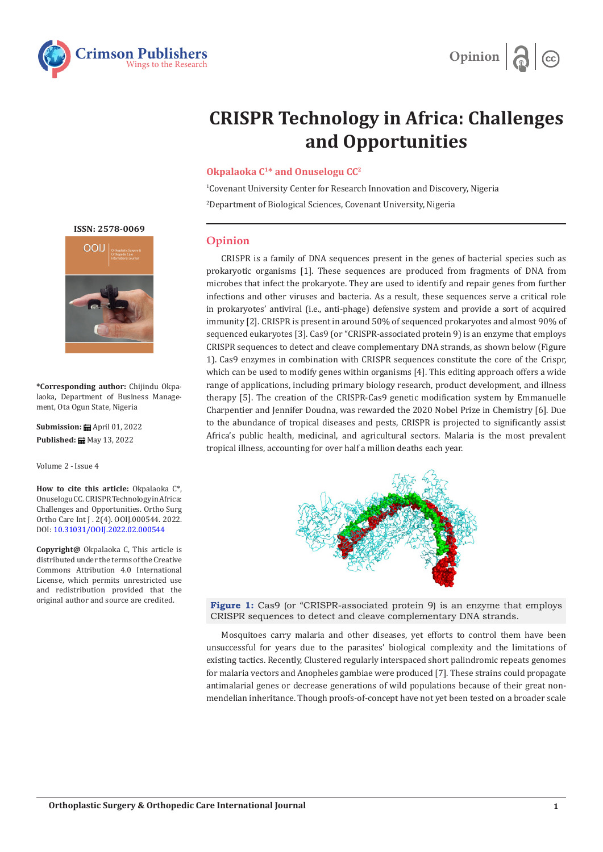



## **CRISPR Technology in Africa: Challenges and Opportunities**

## **Okpalaoka C1\* and Onuselogu CC2**

1 Covenant University Center for Research Innovation and Discovery, Nigeria 2 Department of Biological Sciences, Covenant University, Nigeria

## **Opinion**

CRISPR is a family of DNA sequences present in the genes of bacterial species such as prokaryotic organisms [1]. These sequences are produced from fragments of DNA from microbes that infect the prokaryote. They are used to identify and repair genes from further infections and other viruses and bacteria. As a result, these sequences serve a critical role in prokaryotes' antiviral (i.e., anti-phage) defensive system and provide a sort of acquired immunity [2]. CRISPR is present in around 50% of sequenced prokaryotes and almost 90% of sequenced eukaryotes [3]. Cas9 (or "CRISPR-associated protein 9) is an enzyme that employs CRISPR sequences to detect and cleave complementary DNA strands, as shown below (Figure 1). Cas9 enzymes in combination with CRISPR sequences constitute the core of the Crispr, which can be used to modify genes within organisms [4]. This editing approach offers a wide range of applications, including primary biology research, product development, and illness therapy [5]. The creation of the CRISPR-Cas9 genetic modification system by Emmanuelle Charpentier and Jennifer Doudna, was rewarded the 2020 Nobel Prize in Chemistry [6]. Due to the abundance of tropical diseases and pests, CRISPR is projected to significantly assist Africa's public health, medicinal, and agricultural sectors. Malaria is the most prevalent tropical illness, accounting for over half a million deaths each year.



**Figure 1:** Cas9 (or "CRISPR-associated protein 9) is an enzyme that employs CRISPR sequences to detect and cleave complementary DNA strands.

Mosquitoes carry malaria and other diseases, yet efforts to control them have been unsuccessful for years due to the parasites' biological complexity and the limitations of existing tactics. Recently, Clustered regularly interspaced short palindromic repeats genomes for malaria vectors and Anopheles gambiae were produced [7]. These strains could propagate antimalarial genes or decrease generations of wild populations because of their great nonmendelian inheritance. Though proofs-of-concept have not yet been tested on a broader scale

**ISSN: 2578-0069**



**\*Corresponding author:** Chijindu Okpalaoka, Department of Business Management, Ota Ogun State, Nigeria

**Submission:** April 01, 2022 **Published:** May 13, 2022

Volume 2 - Issue 4

**How to cite this article:** Okpalaoka C\*, Onuselogu CC. CRISPR Technology in Africa: Challenges and Opportunities. Ortho Surg Ortho Care Int J . 2(4). OOIJ.000544. 2022. DOI: [10.31031/OOIJ.2022.02.000544](http://dx.doi.org/10.31031/ooij.2022.02.000544)

**Copyright@** Okpalaoka C, This article is distributed under the terms of the Creative Commons Attribution 4.0 International License, which permits unrestricted use and redistribution provided that the original author and source are credited.